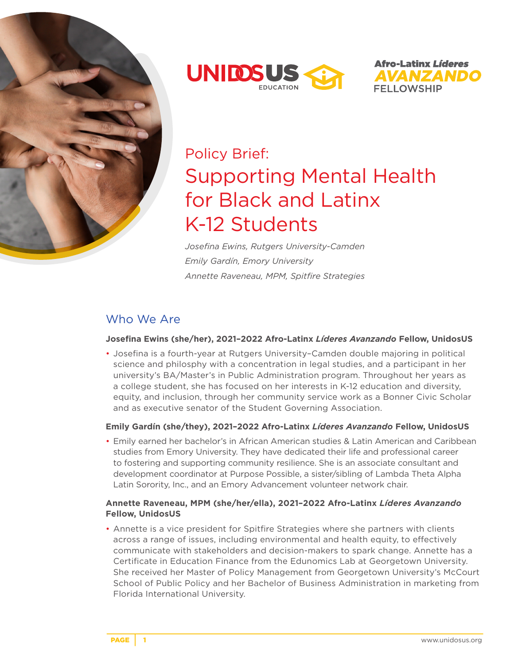





# Policy Brief: Supporting Mental Health for Black and Latinx K-12 Students

*Josefina Ewins, Rutgers University-Camden Emily Gardín, Emory University Annette Raveneau, MPM, Spitfire Strategies*

# Who We Are

#### **Josefina Ewins (she/her), 2021–2022 Afro-Latinx** *Líderes Avanzando* **Fellow, UnidosUS**

• Josefina is a fourth-year at Rutgers University–Camden double majoring in political science and philosphy with a concentration in legal studies, and a participant in her university's BA/Master's in Public Administration program. Throughout her years as a college student, she has focused on her interests in K-12 education and diversity, equity, and inclusion, through her community service work as a Bonner Civic Scholar and as executive senator of the Student Governing Association.

#### **Emily Gardín (she/they), 2021–2022 Afro-Latinx** *Líderes Avanzando* **Fellow, UnidosUS**

• Emily earned her bachelor's in African American studies & Latin American and Caribbean studies from Emory University. They have dedicated their life and professional career to fostering and supporting community resilience. She is an associate consultant and development coordinator at Purpose Possible, a sister/sibling of Lambda Theta Alpha Latin Sorority, Inc., and an Emory Advancement volunteer network chair.

### **Annette Raveneau, MPM (she/her/ella), 2021–2022 Afro-Latinx** *Líderes Avanzando* **Fellow, UnidosUS**

• Annette is a vice president for Spitfire Strategies where she partners with clients across a range of issues, including environmental and health equity, to effectively communicate with stakeholders and decision-makers to spark change. Annette has a Certificate in Education Finance from the Edunomics Lab at Georgetown University. She received her Master of Policy Management from Georgetown University's McCourt School of Public Policy and her Bachelor of Business Administration in marketing from Florida International University.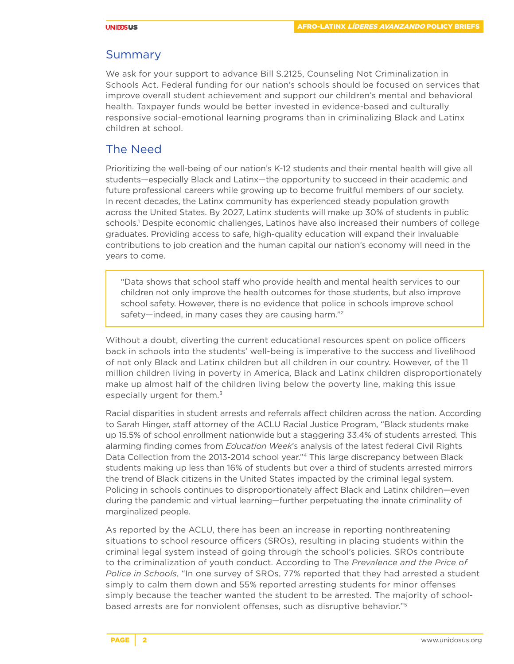### Summary

We ask for your support to advance Bill S.2125, Counseling Not Criminalization in Schools Act. Federal funding for our nation's schools should be focused on services that improve overall student achievement and support our children's mental and behavioral health. Taxpayer funds would be better invested in evidence-based and culturally responsive social-emotional learning programs than in criminalizing Black and Latinx children at school.

### The Need

Prioritizing the well-being of our nation's K-12 students and their mental health will give all students—especially Black and Latinx—the opportunity to succeed in their academic and future professional careers while growing up to become fruitful members of our society. In recent decades, the Latinx community has experienced steady population growth across the United States. By 2027, Latinx students will make up 30% of students in public schools.1 Despite economic challenges, Latinos have also increased their numbers of college graduates. Providing access to safe, high-quality education will expand their invaluable contributions to job creation and the human capital our nation's economy will need in the years to come.

"Data shows that school staff who provide health and mental health services to our children not only improve the health outcomes for those students, but also improve school safety. However, there is no evidence that police in schools improve school safety—indeed, in many cases they are causing harm."2

Without a doubt, diverting the current educational resources spent on police officers back in schools into the students' well-being is imperative to the success and livelihood of not only Black and Latinx children but all children in our country. However, of the 11 million children living in poverty in America, Black and Latinx children disproportionately make up almost half of the children living below the poverty line, making this issue especially urgent for them.<sup>3</sup>

Racial disparities in student arrests and referrals affect children across the nation. According to Sarah Hinger, staff attorney of the ACLU Racial Justice Program, "Black students make up 15.5% of school enrollment nationwide but a staggering 33.4% of students arrested. This alarming finding comes from *Education Week*'s analysis of the latest federal Civil Rights Data Collection from the 2013-2014 school year."4 This large discrepancy between Black students making up less than 16% of students but over a third of students arrested mirrors the trend of Black citizens in the United States impacted by the criminal legal system. Policing in schools continues to disproportionately affect Black and Latinx children—even during the pandemic and virtual learning—further perpetuating the innate criminality of marginalized people.

As reported by the ACLU, there has been an increase in reporting nonthreatening situations to school resource officers (SROs), resulting in placing students within the criminal legal system instead of going through the school's policies. SROs contribute to the criminalization of youth conduct. According to The *Prevalence and the Price of Police in Schools*, "In one survey of SROs, 77% reported that they had arrested a student simply to calm them down and 55% reported arresting students for minor offenses simply because the teacher wanted the student to be arrested. The majority of schoolbased arrests are for nonviolent offenses, such as disruptive behavior."5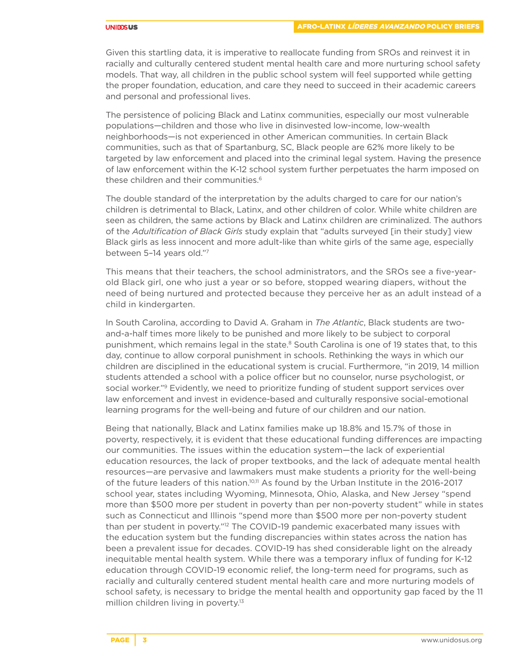#### **UNIDOSUS**

Given this startling data, it is imperative to reallocate funding from SROs and reinvest it in racially and culturally centered student mental health care and more nurturing school safety models. That way, all children in the public school system will feel supported while getting the proper foundation, education, and care they need to succeed in their academic careers and personal and professional lives.

The persistence of policing Black and Latinx communities, especially our most vulnerable populations—children and those who live in disinvested low-income, low-wealth neighborhoods—is not experienced in other American communities. In certain Black communities, such as that of Spartanburg, SC, Black people are 62% more likely to be targeted by law enforcement and placed into the criminal legal system. Having the presence of law enforcement within the K-12 school system further perpetuates the harm imposed on these children and their communities.<sup>6</sup>

The double standard of the interpretation by the adults charged to care for our nation's children is detrimental to Black, Latinx, and other children of color. While white children are seen as children, the same actions by Black and Latinx children are criminalized. The authors of the *Adultification of Black Girls* study explain that "adults surveyed [in their study] view Black girls as less innocent and more adult-like than white girls of the same age, especially between 5–14 years old."7

This means that their teachers, the school administrators, and the SROs see a five-yearold Black girl, one who just a year or so before, stopped wearing diapers, without the need of being nurtured and protected because they perceive her as an adult instead of a child in kindergarten.

In South Carolina, according to David A. Graham in *The Atlantic*, Black students are twoand-a-half times more likely to be punished and more likely to be subject to corporal punishment, which remains legal in the state.<sup>8</sup> South Carolina is one of 19 states that, to this day, continue to allow corporal punishment in schools. Rethinking the ways in which our children are disciplined in the educational system is crucial. Furthermore, "in 2019, 14 million students attended a school with a police officer but no counselor, nurse psychologist, or social worker."<sup>9</sup> Evidently, we need to prioritize funding of student support services over law enforcement and invest in evidence-based and culturally responsive social-emotional learning programs for the well-being and future of our children and our nation.

Being that nationally, Black and Latinx families make up 18.8% and 15.7% of those in poverty, respectively, it is evident that these educational funding differences are impacting our communities. The issues within the education system—the lack of experiential education resources, the lack of proper textbooks, and the lack of adequate mental health resources—are pervasive and lawmakers must make students a priority for the well-being of the future leaders of this nation.<sup>10,11</sup> As found by the Urban Institute in the 2016-2017 school year, states including Wyoming, Minnesota, Ohio, Alaska, and New Jersey "spend more than \$500 more per student in poverty than per non-poverty student" while in states such as Connecticut and Illinois "spend more than \$500 more per non-poverty student than per student in poverty."<sup>12</sup> The COVID-19 pandemic exacerbated many issues with the education system but the funding discrepancies within states across the nation has been a prevalent issue for decades. COVID-19 has shed considerable light on the already inequitable mental health system. While there was a temporary influx of funding for K-12 education through COVID-19 economic relief, the long-term need for programs, such as racially and culturally centered student mental health care and more nurturing models of school safety, is necessary to bridge the mental health and opportunity gap faced by the 11 million children living in poverty.<sup>13</sup>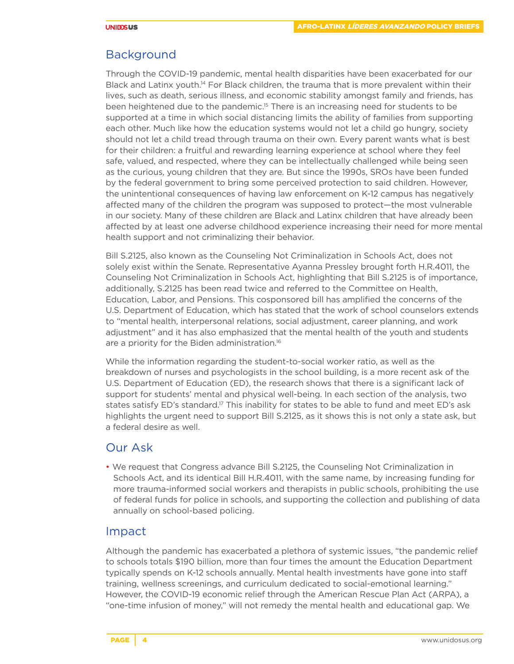# Background

Through the COVID-19 pandemic, mental health disparities have been exacerbated for our Black and Latinx youth.<sup>14</sup> For Black children, the trauma that is more prevalent within their lives, such as death, serious illness, and economic stability amongst family and friends, has been heightened due to the pandemic.15 There is an increasing need for students to be supported at a time in which social distancing limits the ability of families from supporting each other. Much like how the education systems would not let a child go hungry, society should not let a child tread through trauma on their own. Every parent wants what is best for their children: a fruitful and rewarding learning experience at school where they feel safe, valued, and respected, where they can be intellectually challenged while being seen as the curious, young children that they are. But since the 1990s, SROs have been funded by the federal government to bring some perceived protection to said children. However, the unintentional consequences of having law enforcement on K-12 campus has negatively affected many of the children the program was supposed to protect—the most vulnerable in our society. Many of these children are Black and Latinx children that have already been affected by at least one adverse childhood experience increasing their need for more mental health support and not criminalizing their behavior.

Bill S.2125, also known as the Counseling Not Criminalization in Schools Act, does not solely exist within the Senate. Representative Ayanna Pressley brought forth H.R.4011, the Counseling Not Criminalization in Schools Act, highlighting that Bill S.2125 is of importance, additionally, S.2125 has been read twice and referred to the Committee on Health, Education, Labor, and Pensions. This cosponsored bill has amplified the concerns of the U.S. Department of Education, which has stated that the work of school counselors extends to "mental health, interpersonal relations, social adjustment, career planning, and work adjustment" and it has also emphasized that the mental health of the youth and students are a priority for the Biden administration.<sup>16</sup>

While the information regarding the student-to-social worker ratio, as well as the breakdown of nurses and psychologists in the school building, is a more recent ask of the U.S. Department of Education (ED), the research shows that there is a significant lack of support for students' mental and physical well-being. In each section of the analysis, two states satisfy ED's standard.<sup>17</sup> This inability for states to be able to fund and meet ED's ask highlights the urgent need to support Bill S.2125, as it shows this is not only a state ask, but a federal desire as well.

# Our Ask

• We request that Congress advance Bill S.2125, the Counseling Not Criminalization in Schools Act, and its identical Bill H.R.4011, with the same name, by increasing funding for more trauma-informed social workers and therapists in public schools, prohibiting the use of federal funds for police in schools, and supporting the collection and publishing of data annually on school-based policing.

# Impact

Although the pandemic has exacerbated a plethora of systemic issues, "the pandemic relief to schools totals \$190 billion, more than four times the amount the Education Department typically spends on K-12 schools annually. Mental health investments have gone into staff training, wellness screenings, and curriculum dedicated to social-emotional learning." However, the COVID-19 economic relief through the American Rescue Plan Act (ARPA), a "one-time infusion of money," will not remedy the mental health and educational gap. We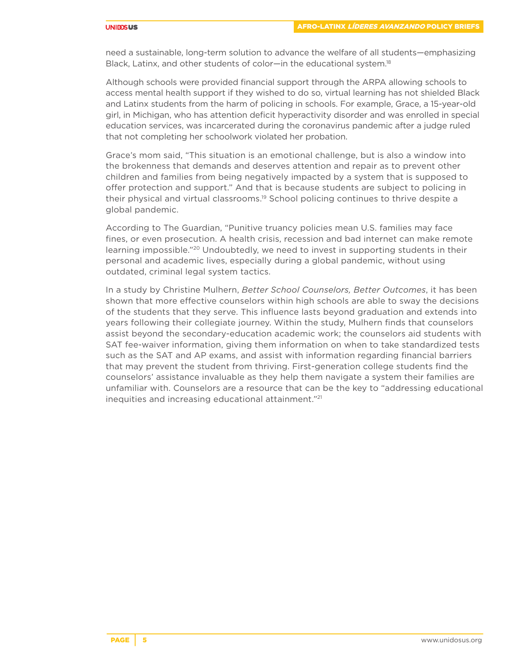#### **UNIDOSUS**

need a sustainable, long-term solution to advance the welfare of all students—emphasizing Black, Latinx, and other students of color—in the educational system.<sup>18</sup>

Although schools were provided financial support through the ARPA allowing schools to access mental health support if they wished to do so, virtual learning has not shielded Black and Latinx students from the harm of policing in schools. For example, Grace, [a 15-year-old](https://www.nytimes.com/2020/07/21/us/michigan-teen-coursework-detention.html)  [girl, in Michigan, who has attention deficit hyperactivity disorder and was enrolled in special](https://www.nytimes.com/2020/07/21/us/michigan-teen-coursework-detention.html)  [education services, was incarcerated during the coronavirus pandemic after a judge ruled](https://www.nytimes.com/2020/07/21/us/michigan-teen-coursework-detention.html)  [that not completing her schoolwork violated her probation.](https://www.nytimes.com/2020/07/21/us/michigan-teen-coursework-detention.html)

Grace's mom said, "This situation is an emotional challenge, but is also a window into the brokenness that demands and deserves attention and repair as to prevent other children and families from being negatively impacted by a system that is supposed to offer protection and support." And that is because students are subject to policing in their physical and virtual classrooms.19 School policing continues to thrive despite a global pandemic.

According to The Guardian, "Punitive truancy policies mean U.S. families may face fines, or even prosecution. A health crisis, recession and bad internet can make remote learning impossible."20 Undoubtedly, we need to invest in supporting students in their personal and academic lives, especially during a global pandemic, without using outdated, criminal legal system tactics.

In a study by Christine Mulhern, *Better School Counselors, Better Outcomes*, it has been shown that more effective counselors within high schools are able to sway the decisions of the students that they serve. This influence lasts beyond graduation and extends into years following their collegiate journey. Within the study, Mulhern finds that counselors assist beyond the secondary-education academic work; the counselors aid students with SAT fee-waiver information, giving them information on when to take standardized tests such as the SAT and AP exams, and assist with information regarding financial barriers that may prevent the student from thriving. First-generation college students find the counselors' assistance invaluable as they help them navigate a system their families are unfamiliar with. Counselors are a resource that can be the key to "addressing educational inequities and increasing educational attainment."21